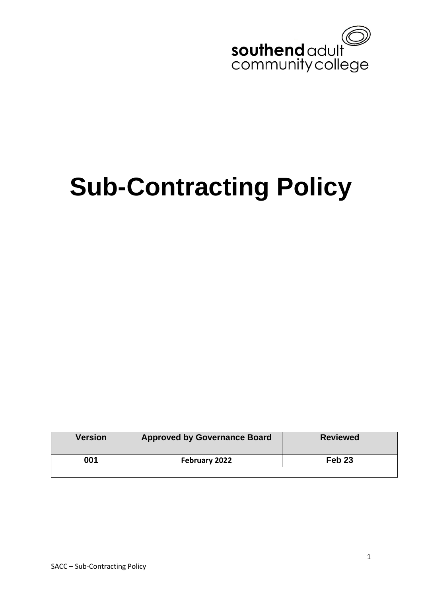

# **Sub-Contracting Policy**

| <b>Version</b> | <b>Approved by Governance Board</b> | <b>Reviewed</b>   |
|----------------|-------------------------------------|-------------------|
| 001            | February 2022                       | Feb <sub>23</sub> |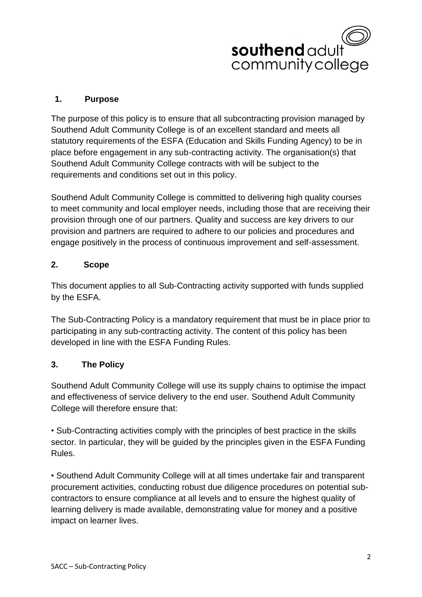

#### **1. Purpose**

The purpose of this policy is to ensure that all subcontracting provision managed by Southend Adult Community College is of an excellent standard and meets all statutory requirements of the ESFA (Education and Skills Funding Agency) to be in place before engagement in any sub-contracting activity. The organisation(s) that Southend Adult Community College contracts with will be subject to the requirements and conditions set out in this policy.

Southend Adult Community College is committed to delivering high quality courses to meet community and local employer needs, including those that are receiving their provision through one of our partners. Quality and success are key drivers to our provision and partners are required to adhere to our policies and procedures and engage positively in the process of continuous improvement and self-assessment.

#### **2. Scope**

This document applies to all Sub-Contracting activity supported with funds supplied by the ESFA.

The Sub-Contracting Policy is a mandatory requirement that must be in place prior to participating in any sub-contracting activity. The content of this policy has been developed in line with the ESFA Funding Rules.

# **3. The Policy**

Southend Adult Community College will use its supply chains to optimise the impact and effectiveness of service delivery to the end user. Southend Adult Community College will therefore ensure that:

• Sub-Contracting activities comply with the principles of best practice in the skills sector. In particular, they will be guided by the principles given in the ESFA Funding Rules.

• Southend Adult Community College will at all times undertake fair and transparent procurement activities, conducting robust due diligence procedures on potential subcontractors to ensure compliance at all levels and to ensure the highest quality of learning delivery is made available, demonstrating value for money and a positive impact on learner lives.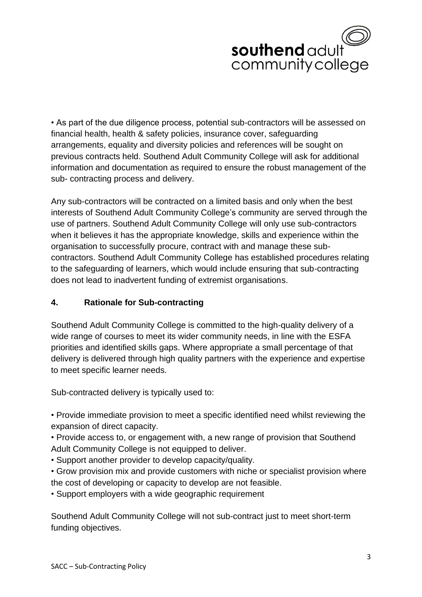# southend adult community college

• As part of the due diligence process, potential sub-contractors will be assessed on financial health, health & safety policies, insurance cover, safeguarding arrangements, equality and diversity policies and references will be sought on previous contracts held. Southend Adult Community College will ask for additional information and documentation as required to ensure the robust management of the sub- contracting process and delivery.

Any sub-contractors will be contracted on a limited basis and only when the best interests of Southend Adult Community College's community are served through the use of partners. Southend Adult Community College will only use sub-contractors when it believes it has the appropriate knowledge, skills and experience within the organisation to successfully procure, contract with and manage these subcontractors. Southend Adult Community College has established procedures relating to the safeguarding of learners, which would include ensuring that sub-contracting does not lead to inadvertent funding of extremist organisations.

# **4. Rationale for Sub-contracting**

Southend Adult Community College is committed to the high-quality delivery of a wide range of courses to meet its wider community needs, in line with the ESFA priorities and identified skills gaps. Where appropriate a small percentage of that delivery is delivered through high quality partners with the experience and expertise to meet specific learner needs.

Sub-contracted delivery is typically used to:

• Provide immediate provision to meet a specific identified need whilst reviewing the expansion of direct capacity.

• Provide access to, or engagement with, a new range of provision that Southend Adult Community College is not equipped to deliver.

• Support another provider to develop capacity/quality.

• Grow provision mix and provide customers with niche or specialist provision where the cost of developing or capacity to develop are not feasible.

• Support employers with a wide geographic requirement

Southend Adult Community College will not sub-contract just to meet short-term funding objectives.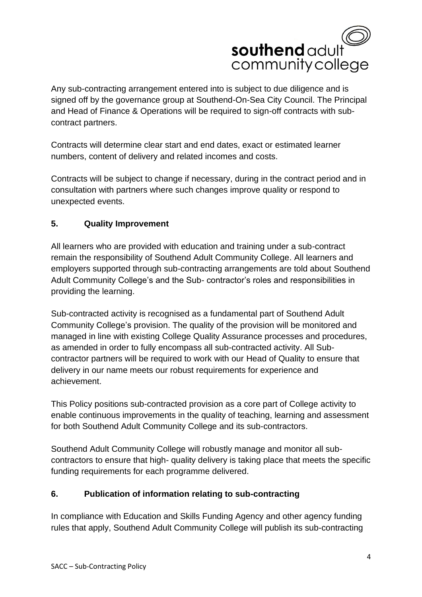

Any sub-contracting arrangement entered into is subject to due diligence and is signed off by the governance group at Southend-On-Sea City Council. The Principal and Head of Finance & Operations will be required to sign-off contracts with subcontract partners.

Contracts will determine clear start and end dates, exact or estimated learner numbers, content of delivery and related incomes and costs.

Contracts will be subject to change if necessary, during in the contract period and in consultation with partners where such changes improve quality or respond to unexpected events.

# **5. Quality Improvement**

All learners who are provided with education and training under a sub-contract remain the responsibility of Southend Adult Community College. All learners and employers supported through sub-contracting arrangements are told about Southend Adult Community College's and the Sub- contractor's roles and responsibilities in providing the learning.

Sub-contracted activity is recognised as a fundamental part of Southend Adult Community College's provision. The quality of the provision will be monitored and managed in line with existing College Quality Assurance processes and procedures, as amended in order to fully encompass all sub-contracted activity. All Subcontractor partners will be required to work with our Head of Quality to ensure that delivery in our name meets our robust requirements for experience and achievement.

This Policy positions sub-contracted provision as a core part of College activity to enable continuous improvements in the quality of teaching, learning and assessment for both Southend Adult Community College and its sub-contractors.

Southend Adult Community College will robustly manage and monitor all subcontractors to ensure that high- quality delivery is taking place that meets the specific funding requirements for each programme delivered.

# **6. Publication of information relating to sub-contracting**

In compliance with Education and Skills Funding Agency and other agency funding rules that apply, Southend Adult Community College will publish its sub-contracting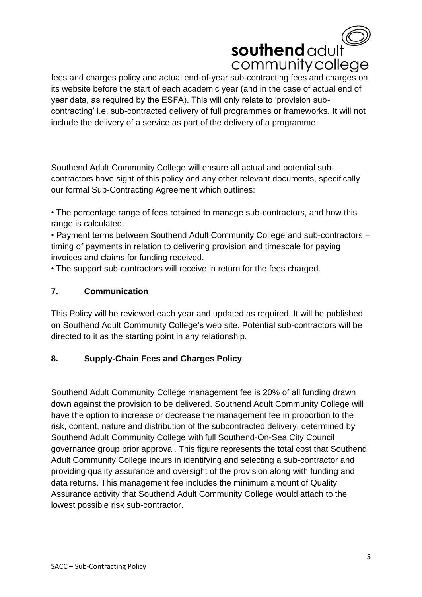

fees and charges policy and actual end-of-year sub-contracting fees and charges on its website before the start of each academic year (and in the case of actual end of year data, as required by the ESFA). This will only relate to 'provision subcontracting' i.e. sub-contracted delivery of full programmes or frameworks. It will not include the delivery of a service as part of the delivery of a programme.

Southend Adult Community College will ensure all actual and potential subcontractors have sight of this policy and any other relevant documents, specifically our formal Sub-Contracting Agreement which outlines:

• The percentage range of fees retained to manage sub-contractors, and how this range is calculated.

• Payment terms between Southend Adult Community College and sub-contractors – timing of payments in relation to delivering provision and timescale for paying invoices and claims for funding received.

• The support sub-contractors will receive in return for the fees charged.

# **7. Communication**

This Policy will be reviewed each year and updated as required. It will be published on Southend Adult Community College's web site. Potential sub-contractors will be directed to it as the starting point in any relationship.

# **8. Supply-Chain Fees and Charges Policy**

Southend Adult Community College management fee is 20% of all funding drawn down against the provision to be delivered. Southend Adult Community College will have the option to increase or decrease the management fee in proportion to the risk, content, nature and distribution of the subcontracted delivery, determined by Southend Adult Community College with full Southend-On-Sea City Council governance group prior approval. This figure represents the total cost that Southend Adult Community College incurs in identifying and selecting a sub-contractor and providing quality assurance and oversight of the provision along with funding and data returns. This management fee includes the minimum amount of Quality Assurance activity that Southend Adult Community College would attach to the lowest possible risk sub-contractor.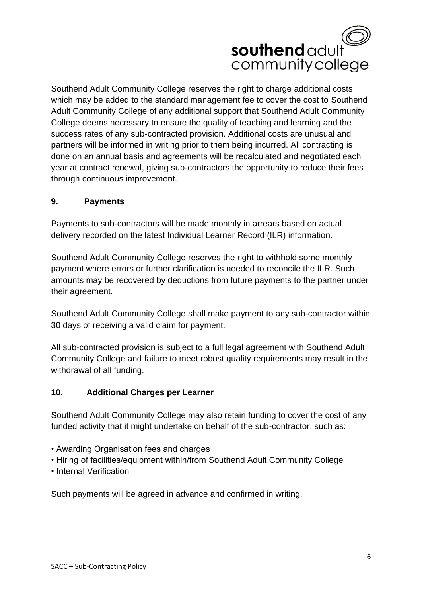

Southend Adult Community College reserves the right to charge additional costs which may be added to the standard management fee to cover the cost to Southend Adult Community College of any additional support that Southend Adult Community College deems necessary to ensure the quality of teaching and learning and the success rates of any sub-contracted provision. Additional costs are unusual and partners will be informed in writing prior to them being incurred. All contracting is done on an annual basis and agreements will be recalculated and negotiated each year at contract renewal, giving sub-contractors the opportunity to reduce their fees through continuous improvement.

#### **9. Payments**

Payments to sub-contractors will be made monthly in arrears based on actual delivery recorded on the latest Individual Learner Record (ILR) information.

Southend Adult Community College reserves the right to withhold some monthly payment where errors or further clarification is needed to reconcile the ILR. Such amounts may be recovered by deductions from future payments to the partner under their agreement.

Southend Adult Community College shall make payment to any sub-contractor within 30 days of receiving a valid claim for payment.

All sub-contracted provision is subject to a full legal agreement with Southend Adult Community College and failure to meet robust quality requirements may result in the withdrawal of all funding.

#### **10. Additional Charges per Learner**

Southend Adult Community College may also retain funding to cover the cost of any funded activity that it might undertake on behalf of the sub-contractor, such as:

- Awarding Organisation fees and charges
- Hiring of facilities/equipment within/from Southend Adult Community College
- Internal Verification

Such payments will be agreed in advance and confirmed in writing.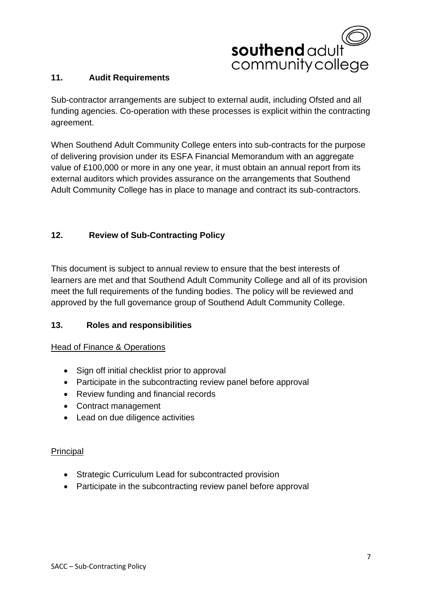

#### **11. Audit Requirements**

Sub-contractor arrangements are subject to external audit, including Ofsted and all funding agencies. Co-operation with these processes is explicit within the contracting agreement.

When Southend Adult Community College enters into sub-contracts for the purpose of delivering provision under its ESFA Financial Memorandum with an aggregate value of £100,000 or more in any one year, it must obtain an annual report from its external auditors which provides assurance on the arrangements that Southend Adult Community College has in place to manage and contract its sub-contractors.

# **12. Review of Sub-Contracting Policy**

This document is subject to annual review to ensure that the best interests of learners are met and that Southend Adult Community College and all of its provision meet the full requirements of the funding bodies. The policy will be reviewed and approved by the full governance group of Southend Adult Community College.

# **13. Roles and responsibilities**

#### Head of Finance & Operations

- Sign off initial checklist prior to approval
- Participate in the subcontracting review panel before approval
- Review funding and financial records
- Contract management
- Lead on due diligence activities

#### Principal

- Strategic Curriculum Lead for subcontracted provision
- Participate in the subcontracting review panel before approval